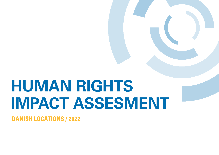# **HUMAN RIGHTS IMPACT ASSESMENT**

**DANISH LOCATIONS / 2022**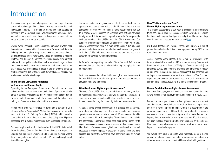# Introduction

Terma is quided by one overall purpose  $-$  securing people through advanced technology. We deliver security for countries and individuals. Security is a means to maintaining and developing prosperity and protecting human lives, sovereignty, and democracy. We deliver advanced technologies to keep people safe, both in times of peace and in times of conflict.

Owned by the Thomas B. Thrige Foundation, Terma is a privately-held international company within the Aerospace, Defense, and Security industry, with our origins tracing back to 1949. We are present in four distinct business areas: Aeronautics, Space, Surveillance & Mission Systems, and Support & Services. We work closely with national defense forces, public authorities, and international organizations worldwide to provide security for people on land, at sea, and in the air. In space, we are engaged in state-of-the-art projects aimed at enabling people to deal with new and future challenges, including the environment and climate change.

# **Terma and the UN Guiding Principles on Business and Human Rights**

Operating in the Aerospace, Defense and Security sectors, we deliver products and services foremost in times of peace, but also in times of conflict. We recognize that we may become part of human rights impacts through our products, services, and the industry we belong to. These impacts can be positive or adverse.

Human rights are a key focus area for Terma and a part of our CSR strategy *Allies in Responsibility*. Within this focus area, we actively work with the UN Guiding Principles (UNGPs), which require companies to have in place a human rights policy, due diligence processes and grievance mechanisms such as reporting channels.

Our human rights policy, which is aligned with the UNGPs, is included in our Employee Code of Conduct. All employees are required to undergo our mandatory Employee Code of Conduct training, where they, among others, are introduced to the UN Guiding Principles and the 48 human rights.

Terma conducts due diligence on our third parties both for our upstream and downstream value chain. Human rights are a key component of this. We set human rights requirements for our third parties via our Business Relationship Code of Conduct which is aligned with internationally agreed standards for responsible business conduct, the UNGPs and the OECD Guidelines. Our suppliers are asked to complete a CSR self-assessment where they indicate whether they have a human rights policy, a due diligence process, and grievance and remediation mechanisms in alignment with the UNGPs. Moreover, our customers and end-users are screened for adverse human rights issues.

In Terma's two reporting channels, *Ethics Line* and *Tell us your concerns*, human rights are also included among the topics that can be reported on.

Lastly, we have conducted our first human rights impact assessment in 2021. This is our Year 2 human rights impact assessment where actual impacts are addressed.

# **What Is a Human Rights Impact Assessment?**

The core of the UNGPs is to know and show  $-$  to know your risks of impacts and to communicate, how you manage these risks. For a company to know its impacts and to show how these are addressed, it needs to conduct regular human rights impact assessments.

A human rights impact assessment is a process for identifying, preventing, or mitigating risks of adverse impacts from business operations and services on, at minimum, all 48 human rights listed in the International Bill of Human Rights. The 48 human rights include the International Labor Organization core labor rights. Human rights impact assessments should provide an overview of where companies identify risks of adverse human rights impacts, and which actions and processes they have in place to prevent or mitigate these. We have decided also to identify, where we have positive impacts on human rights.

# **How We Conducted our Year 2 Human Rights Impact Assessment**

This impact assessment is our Year 2 assessment and therefore takes basis in our Year 1 assessment, which covered our 3 Danish locations, including our headquarters in Lystrup. The methodology used for our Year 1 assessment can be read [here.](https://www.terma.com/media/ahadw5iw/human-rights-impact-assessment-final-2021-v2.pdf)

Our Danish locations in Lystrup, Grenaa, and Herlev are a mix of production and office facilities, covering approximately 82% of our total global workforce.

Actual impacts were identified by a mix of interviews with internal stakeholders, such as HR and our Working Environment Representatives, data from our Workplace Assessment (APV), our Employee Survey, our reporting channels, and employee feedback on our Year 1 human rights impact assessment. For potential and no impacts, we assessed whether the results of our Year 1 human rights impact assessment remain accurate or if processes or context have changed, resulting in a new classification of impact.

# **How to Read Our Human Rights Impact Assessment**

In the next few pages, you will receive a visual overview of the rights where Terma has had actual, potential, or no impacts in FY2021/22.

For each actual impact, there is a description of the actual impact and the affected stakeholders, as well as how the impact was addressed. For each potential impact, there is a description of the potential impact, who could be affected, as well as the processes we have in place to prevent or mitigate such impacts. For each no impact, there is a description on why we have identified that we are not likely to cause or contribute to adverse impacts on these rights. Moreover, an overall description of how we track and monitor these impacts is described on page 4.

We would very much appreciate your feedback. Ideas to better prevent or mitigate adverse impacts, experiences of impacts or any other remarks to our assessment will be received with gratitude.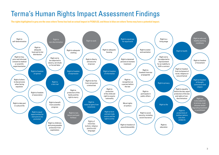# Terma's Human Rights Impact Assessment Findings

**The rights highlighted in grey are the ones where Terma has had an actual impact in FY2021/22, and those in blue are where Terma may have a potential impact.**

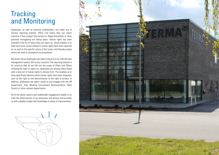# **Tracking** and Monitoring

Employees, as well as external stakeholders, can make use of Terma's reporting channel, *Ethics Line* where they can report concerns if they suspect that serious or illegal misconduct or other potential wrongdoing are taking place. Human rights has been included in the list of topics they can report on, which enables us to track how many issues related to human rights have been reported on, as well as the specific nature of the issues, and thereby assess where we need to strengthen our procedures.

Moreover, all our employees can report concerns in our internal case management system *Tell us your concerns*. The reporting channel is for concerns that do not fall into the scope of *Ethics Line*. When choosing the topic to report on, employees are among others faced with a long list of human rights to choose from. This enables us to more specifically identify which human rights have been impacted, such as the right to non-discrimination or the right to privacy. In addition, employees can report issues to and engage with the HR Department, their Working Environment Representative, Work Council or other relevant departments.

All of the above reports and stakeholder engagement enable us to track the effectiveness of our processes and actions and provides us with valuable insight and knowledge on areas of improvements.



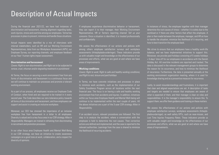# Description of Actual Impacts

During the financial year 2021/22, we have had instances of discrimination and harassment, missing alignment regarding tasks, work injuries, stress and overtime among our employees. Terma has processes in place to prevent, minimize and handle these situations.

Actual impacts were identified by a mix of interviews with internal stakeholders, such as HR and our Working Environment Representatives, data from our Workplace Assessment (APV), our Employee Survey, our reporting channels, and employee feedback on our Year 1 human rights impact assessment.

#### **Discrimination and harassment**

*Covers: Right to non-discrimination; and Right not to be subjected to torture, cruel, inhuman and/or degrading treatment or punishment*

At Terma, the focus on securing a work environment free from any forms of discrimination and harassment is a continuous focus and we will continue to maintain our processes and promote a tolerant working environment.

As a part of our process, all employees receive our Employee Code of Conduct, when hired and are required to be trained in it every second year. The Code describes our zero-tolerance policy towards all forms of discrimination and harassment, and how employees can support and assist in creating an inclusive workplace.

Moreover, our CEO has stressed the importance of an inclusive workplace free from harassment in a letter to all employees. Diversity is valued and is a key focus area in our CSR strategy *Allies in Responsibility*. Managers are trained in refraining from discriminating in recruitment and promotion processes.

In our other focus area Employee Health and Mental Well-Being in our CSR strategy, we have an initiative to create awareness campaigns on a good tone at work, collaboration, and a respect for diversity of opinions.

If employees experience discriminative behavior or harassment, they can report it to their manager, their Working Environment Representative, HR or Terma's reporting channel *Tell us your concerns*. Once a situation is identified, it is treated professionally and confidentially.

We assess the effectiveness of our actions and policies with among others employee satisfaction surveys and workplace assessments (Arbejdspladsvurderinger). These indicators provide us with valuable insight and knowledge on the effectiveness of our processes and efforts, what we are good at and where we have areas of improvements.

### **Working conditions**

*Covers: Right to work; Right to safe and healthy working conditions; and Right to rest, leisure and paid holidays*

In Terma, we have concrete initiatives and processes in place to minimize work accidents, such as the implementation of our Safety Excellence Program across all locations within the next financial year. The focus is on having a safe and healthy working environment free from accidents and injuries. In addition, initiatives within our focus area Employee Health and Mental Well-being will continue to be implemented within the next couple of years. All the above initiatives are a part of the 3-year CSR strategy *Allies in Responsibility*.

If an accident occurs, relevant procedures are followed. The first step is to analyze the accident, where a conversation with the employee is held to determine the root causes. Then corrective actions are defined and implemented, and the case is reported to the relevant authorities. Learnings from the case is shared to minimize the likelihood of recurring accidents.

In instances of stress, the employee together with their manager determine the root causes of stress – whether it is solely due to the workload or if there are other factors that affect the employee. A plan is then made between the employee, manager, and HR on how to handle the situation, minimize the likelihood of it recurring, and how to best transition the employee back.

We strive to ensure that our employees have a healthy work-life balance, and we have implemented initiatives to support this. Moreover, we provide paid holidays consisting of 5 weeks holidays + 5 days' time off for our employees in accordance with the Danish Holiday Act. All overtime incidents are reported and tracked. The data is discussed in the relevant management groups to determine the reason for its occurrence, and how to minimize the likelihood of recurrence. Furthermore, the data is presented annually at the working environment organization meeting, where it is used for knowledge sharing and as a preventive measure for recurrence.

Lastly, to avoid misunderstandings and frustrations, it is important that clear and aligned expectations are set. A description of tasks and targets are needed to ensure that employees are aware of what is expected of them, and their manager is clear on roles and responsibilities. It is the manager's responsibility to ensure this. To support them, we offer them guidance and training on these matters.

We assess the effectiveness of our actions and policies with employee satisfaction surveys, workplace assessments (Arbejdspladsvurderinger), as well safety KPI's, such as near-misses, and Lost Time Injuries Frequency Rates. These indicators provide us with valuable insight and knowledge on the effectiveness of our processes and efforts, what we are good at and where we have areas of improvements.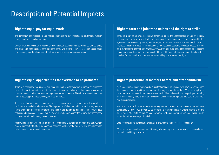# Description of Potential Impacts

# **Right to equal pay for equal work**

The gender pay gap still exists in Denmark and therefore we may impact equal pay for equal work in hiring, negotiations and promotions.

Decisions on compensation are based on an employee's qualifications, performance, and behavior, and other legitimate business considerations. Terma will always follow local regulations on equal pay, including reporting to public authorities on specific salary statistics as required.

# **Right to form and join trade unions and the right to strike**

Terma is a part of an overall collective agreement under the Confederation of Danish Industry (DI) covering a wide variety of trades and positions. All incumbents of positions covered by the agreement are covered by the agreement regardless of their actual union membership status. Moreover, this right is specifically mentioned on the list of subjects employees can choose to report on in our reporting channel, *Tell us your concerns*. If an employee should feel compelled to become a member of a certain union or otherwise feel their right impacted, they can report it and it will be possible for us to monitor and track whether actual impacts exists on this right.

# **Right to equal opportunities for everyone to be promoted**

There is a possibility that unconscious bias may lead to discrimination in promotion processes as people tend to promote others that resemble themselves. Moreover, they may unconsciously promote based on other reasons than legitimate business reasons. Therefore, we may impact the right to equal opportunities for everyone to be promoted.

To prevent this, we train our managers in unconscious biases to ensure that all work-related decisions are solely based on merits. The importance of diversity and inclusion is a key element in the promotion process and therefore included in the training to managers. Moreover, various policies and processes, such as People Review, have been implemented to provide transparency and guidelines to both managers and employees

Acknowledging that we operate in industries traditionally dominated by men and that women merely represent 20% of our management positions, we have set a target for 3% annual increase in the female composition of leadership.

# **Right to protection of mothers before and after childbirth**

As a production company there may be a risk that pregnant employees, who have not yet informed their managers, are subject to work conditions that might be harmful for them. Moreover, employees on maternity leave may risk that their work responsibilities and tasks have changed upon returning from leave. Finally, there is a risk of unconscious bias in considering maternity leave in promotion and hiring processes.

We have processes in place to ensure that pregnant employees are not subject to harmful work conditions. Moreover, we provide 23-26 weeks paid maternity leave, 4 weeks prior to birth and 19-22 weeks after birth, as well as paid leave in case of pregnancy or birth related illness. Finally, seniority continues during maternity leave.

Employees returning from maternity leave are ensured the same level of responsibility.

Moreover, Terma provides recruitment training which among others focuses on unconscious bias in promotion and hiring processes.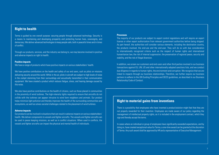# **Right to health**

Terma is guided by one overall purpose: securing people through advanced technology. Security is a means to maintaining and developing prosperity and protecting human lives, sovereignty, and democracy. We deliver advanced technologies to keep people safe, both in peaceful times and in times of conflict.

Through our products, services, and the industry we belong to, we may become involved in positive and adverse impacts on right to health.

#### **Positive impacts**

We have a range of products which have positive impacts on various stakeholders' health.

We have positive contributions on the health and safety of our end users, such as pilots on missions delivering security around the world. While in the air, pilots in aircraft are subject to high levels of noise in the cockpit stemming from their surroundings and acoustically transmitted in their communication equipment. We have created a product which reduces fatigue, stress, and hearing damage caused by this noise.

We also have positive contributions on the health of citizens, such as those placed in communities in the proximity of wind turbines. The high-intensity lights required to ensure that aircrafts do not collide with the turbines can appear intrusive to wind farm neighbors and animals. Our product helps minimize light pollution and thereby improves the health of the surrounding communities and ecosystems, as well as solves societal challenges related to the placement of wind turbines.

#### **Adverse impacts**

Our products can be involved in situations that can result in adverse impacts on various stakeholders' health. We deliver components to vessels and fighter aircrafts. The vessels and fighter aircrafts can be used in peace keeping missions, as well as in conflict situations. When used in conflicts, the vessels and fighter aircrafts can impact the physical and mental health of individuals.

#### **Processes**

The majority of our products are subject to export control regulations and will require an export license or other export authorization from relevant government authorities before being shipped. As part hereof, the authorities will consider various elements, including the destination country, the products involved, the end-use and the end-user. They will do so with due consideration to internationally recognized criteria such as the respect of human rights and international humanitarian law, the risk of internal suppression, the preservation of regional peace, security and stability, and the risk of illegal diversion.

In addition, we screen our customers and end-users and other third parties involved in our business transactions against EU, UN, US and other internationally adopted sanctions lists, and we conduct due diligence in regards to human rights, the environment and corruption. We recognize that we are linked to impacts through our business relationships. Therefore, we further require our business partners to adhere to the UN Guiding Principles and OECD guidelines, as described in our Business Relationship Code of Conduct.

# **Right to material gains from inventions**

There is a possibility that employees who have invented a product/solution might feel that they are not properly rewarded for their invention. Employees are made aware of our policy regarding the management of intellectual property rights, as it is included in the employment contract, which they sign and thereby accept the terms.

In cases where an individual or group of employees have significantly exceeded expectations, and by doing so, have created exceptional value for Terma, a one-time award can be granted at the discretion of Terma. Any such award shall be approved by HR and a representative of Executive Management.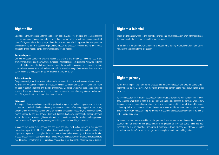# **Right to life**

Operating in the Aerospace, Defense and Security sectors, we deliver products and services that are used both in times of peace and in times of conflict. They are often owned for extended periods of time, 15-20 years, where the majority of times they are used for maintaining peace. We recognize that we may become part of impacts on Right to Life; through our products, services, and the industry we belong to. These impacts can be positive or severe adverse impacts.

# **Positive impacts**

Our self-protection equipment protects vessels and aircrafts and thereby can save the lives of the crew. Moreover, our radars have various purposes. The radars used in airports and with wind turbines ensure that planes do not collide and thereby protect the lives of the passengers and crew. The radars on vessels can be used for search and rescue missions, as well as navigation to ensure that the vessels do not collide and thereby put the safety and lives of the crew at risk.

#### **Adverse impacts**

Our products will, from time to time, be involved in situations that can result in severe adverse impacts. For instance, we deliver components to vessels, such as command and control systems, that might be used in conflict situations and thereby impact lives. Moreover, we deliver components to fighter aircrafts. These aircrafts are used in conflict situations, as well as peace keeping missions. When used in conflicts, the aircrafts can impact the lives of citizens.

#### **Processes**

The majority of our products are subject to export control regulations and will require an export license or other export authorization from relevant government authorities before being shipped. As part hereof, the authorities will consider various elements, including the destination country, the products involved, the end-use and the end-user. They will do so with due consideration to internationally recognized criteria such as the respect of human rights and international humanitarian law, the risk of internal suppression, the preservation of regional peace, security and stability, and the risk of illegal diversion.

In addition, we screen our customers and end-users and other third parties involved in our business transactions against EU, UN, US and other internationally adopted sanctions lists, and we conduct due diligence in regards to human rights, the environment and corruption. We recognize that we are linked to impacts through our business relationships. Therefore, we further require our business partners to adhere to the UN Guiding Principles and OECD guidelines, as described in our Business Relationship Code of Conduct.

# **Right to a fair trial**

There are instances where Terma might be involved in a court case. As in every other court case, there is a risk that a party may impact the judicial process.

In Terma our internal and external lawyers are required to comply with relevant laws and ethical regulations applicable to the profession.

# **Right to privacy**

Terma might impact this right as we process and handle employee's and external stakeholders' personal data daily. Moreover, we may also impact this right by using video surveillance at our locations.

To accommodate this, Terma has developed guidelines that are available for all employees. In these, they can read what type of data is stored, how we handle and process the data, as well as how they can receive access and information. This is also communicated to external stakeholders when collecting their data. Moreover, all employees are trained within personal data, as part of their Employee Code of Conduct training. Furthermore, relevant employees receive additional training on GDPR and personal data.

In connection with video surveillance, the purpose is not to monitor employees, but is used to counter criminal activities. The placement and the purpose of the video surveillance has been presented to the Collaboration Committee (Samarbejdsudvalg). Guests are informed of video surveillance on Terma's locations via signs and in compliance with national legislation.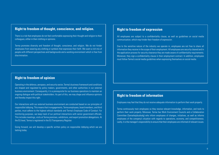# **Right to freedom of thought, conscience, and religion.**

There is a risk that employees do not feel comfortable expressing their thought and religion to their colleagues, either in their clothing or opinions.

Terma promotes diversity and freedom of thought, conscience, and religion. We do not hinder employees from wearing any clothing or symbols that expresses their faith. We want a rich mix of people with different perspectives and backgrounds and a working environment which is free from discrimination.

# **Right to freedom of opinion**

Operating in the defence, aeropace, and security sector, Terma's business framework and conditions are shaped and regulated by policy makers, governments, and other authorities in our external business environment. Consequently, it is a prerequisite for our business operations to maintain an ongoing dialogue with political stakeholders. As part of this, we may shape and influence opinions and thereby impact this right.

Our interactions with our external business environment are conducted based on our principles of responsible lobbying. This means that in engagements, Terma employees, board members, and third parties, must adhere to the highest ethical standards and Terma's Employee Code of Conduct. For monitoring purposes, we keep track of our political interactions with senior government officials. This includes meetings, visits at Terma premises, exhibitions, and export promotion delegations. At the EU level, Terma is registered in the EU Transparency Register.

Going forward, we will develop a specific written policy on responsible lobbying which we are lacking today.

# **Right to freedom of expression**

All employees are subject to a confidentiality clause, as well as guidelines on social media communication, which may hinder their freedom of expression.

Due to the sensitive nature of the industry we operate in, employees are not free to share all information they receive in the scope of their employment. All employees are security cleared and in the application process for security clearance they are made aware of confidentiality requirements. Moreover, they sign a confidentiality clause in their employment contract. In addition, employees must follow Terma's social media guidelines when expressing themselves on social media.

# **Right to freedom of information**

Employees may feel that they do not receive adequate information to perform their work properly.

Terma continuously train employees so they receive relevant knowledge, information, and tools to perform their work properly. Moreover, Terma has Work Environment Councils and a Collaboration Committee (Samarbejdsudvalg) who inform employees of changes, initiatives, as well as informs employees of the company's situation with regards to operations, economy, and competitiveness. Lastly, it is the manager's responsibility to ensure that their employees are informed of relevant issues.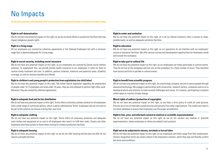# No Impacts

**Terma has assessed and identified that we do not have any potential impact on the below listed rights.**

# **Right to self-determination**

We do not have any potential impact on this right, as we do not build offices or production facilities that may impact indigenous people rights.

# **Right to a living wage**

All our employees are covered by collective agreements or the Salaried Employees Act with a minimum wage that is deemed adequate for a livng wage.

# **Right to social security, including social insurance**

We do not have any potential impact on this right, as our employees are covered by Danish social welfare schemes. To supplement this, we provide private health insurance to our employees in order for them to receive timely treatment and care. In addition, pension schemes, maternity and paternity leave, disability coverage, as well as sickness benefits are offered.

# **Right to children's and young people's protection from exploitation (no child labor)**

We do not have any potential impact on this right. We follow Danish legislation regarding the employment of people under 18. If employees are hired under 18 years, they are only allowed to perform light office work. Moreover, they are covered by collective agreements.

# **Right to adequate food and its fair distribution**

We do not have any potential impact on this right. Terma offers a voluntary canteen scheme for all employees with a wide range of nutritional options, which is partly subsidized by Terma. Employees who do not wish to be part of the scheme can choose to bring their own food.

# **Right to adequate clothing**

We do not have any potential impact on this right. Terma offers all necessary protective and adequate work clothes and equipment at no cost to all employees who need it to fulfil their tasks. Guests and other employees also have access to these when visiting for instance production facilities.

# **Right to adequate housing**

We do not have any potential impact on this right, as we do not offer housing and the jobs we offer do not require overnight facilities.

# **Right to water and sanitation**

We do not have any potential impact on this right, as in all our Danish locations, there is access to clean, potable water, as well as adequate sanitation facilities.

# **Right to education**

We do not have any potential impact on this right, as our operations do not interfere with our employees' access to education facilities. We offer various courses and development opportunities for employees inside and outside the workplace.

# **Right to take part in cultural life**

We do not have any potential impact on this right, as our employees can freely participate in cultural events. They do not live at the workplace and are only at the workplace for a fixed number of hours. They therefore have access and time to partake in cultural events.

# **Right to benefit from scientific progress**

We do not have any potential impact on this right. As a technology company, we aim to secure people through advanced technology. We engage in partnerships with universities, research centers, companies and so on to develop products and solutions to meet societal challenges and issues. For instance, participating in projects within space to monitor climate change.

# **Moral rights of authors (protection of copyrights)**

We do not have any potential impact on this right, as we have a strict policy to credit all used pictures. Pictures are a mix of internally owned pictures and pictures from other organizations. The credits are listed in our photo database to ensure that employees use the proper accreditation.

# **Right to free, prior, and informed consent to medical or scientific experimentation**

We do not have any potential impact on this right, as we do not conduct any medical or scientific experimentation, where employees or others are asked to test products.

# **Right not to be subjected to slavery, servitude or forced labor**

We do not have any potential impact on this right, as our employees can freely resign from their employment. Terma's resignation terms are clearly stated in the employee's contract, which they sign and thereby confirm the terms and conditions.